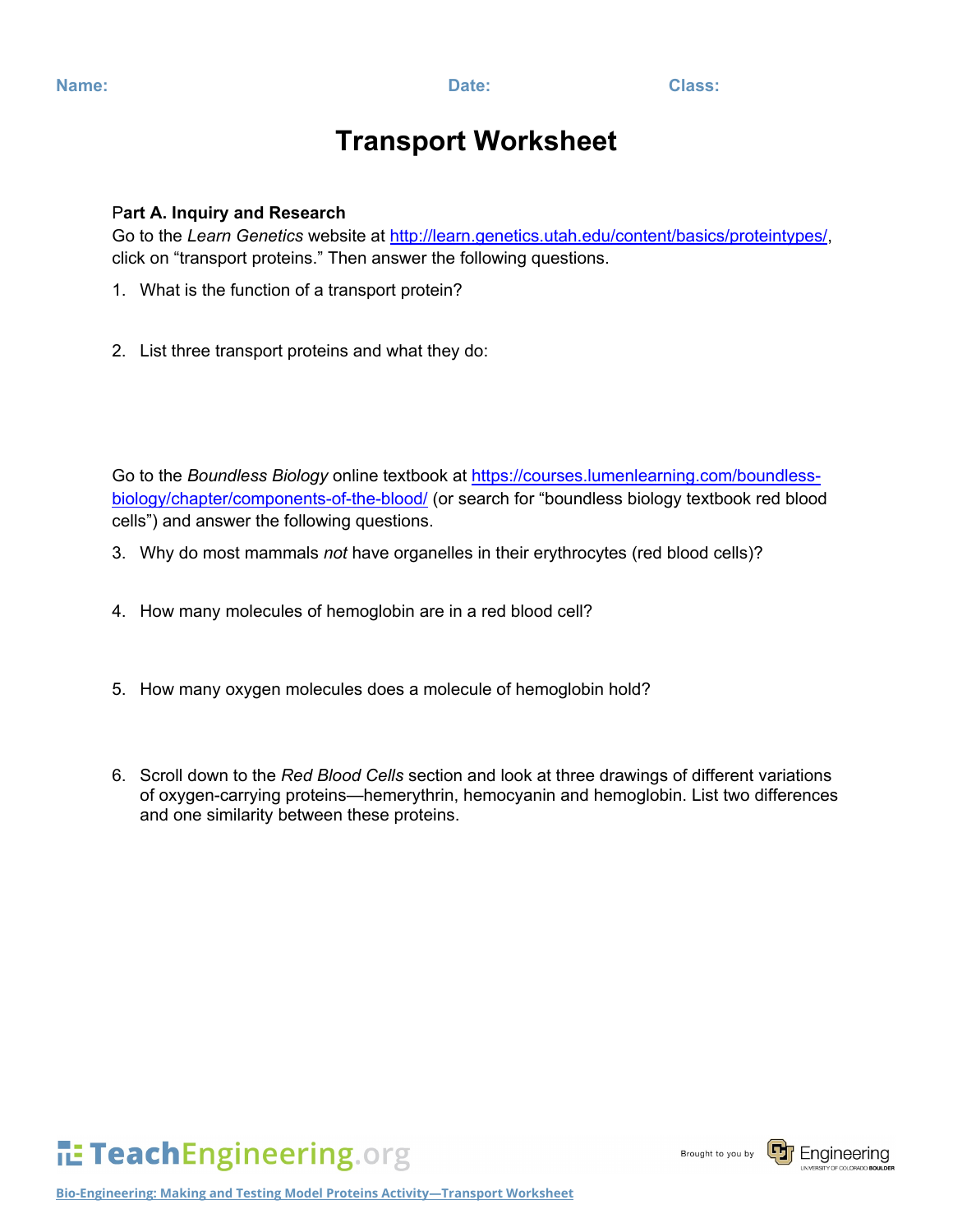## **Transport Worksheet**

### P**art A. Inquiry and Research**

Go to the *Learn Genetics* website at [http://learn.genetics.utah.edu/content/basics/proteintypes/,](http://learn.genetics.utah.edu/content/basics/proteintypes/) click on "transport proteins." Then answer the following questions.

- 1. What is the function of a transport protein?
- 2. List three transport proteins and what they do:

Go to the *Boundless Biology* online textbook at [https://courses.lumenlearning.com/boundless](https://courses.lumenlearning.com/boundless-biology/chapter/components-of-the-blood/)[biology/chapter/components-of-the-blood/](https://courses.lumenlearning.com/boundless-biology/chapter/components-of-the-blood/) (or search for "boundless biology textbook red blood cells") and answer the following questions.

- 3. Why do most mammals *not* have organelles in their erythrocytes (red blood cells)?
- 4. How many molecules of hemoglobin are in a red blood cell?
- 5. How many oxygen molecules does a molecule of hemoglobin hold?
- 6. Scroll down to the *Red Blood Cells* section and look at three drawings of different variations of oxygen-carrying proteins—hemerythrin, hemocyanin and hemoglobin. List two differences and one similarity between these proteins.

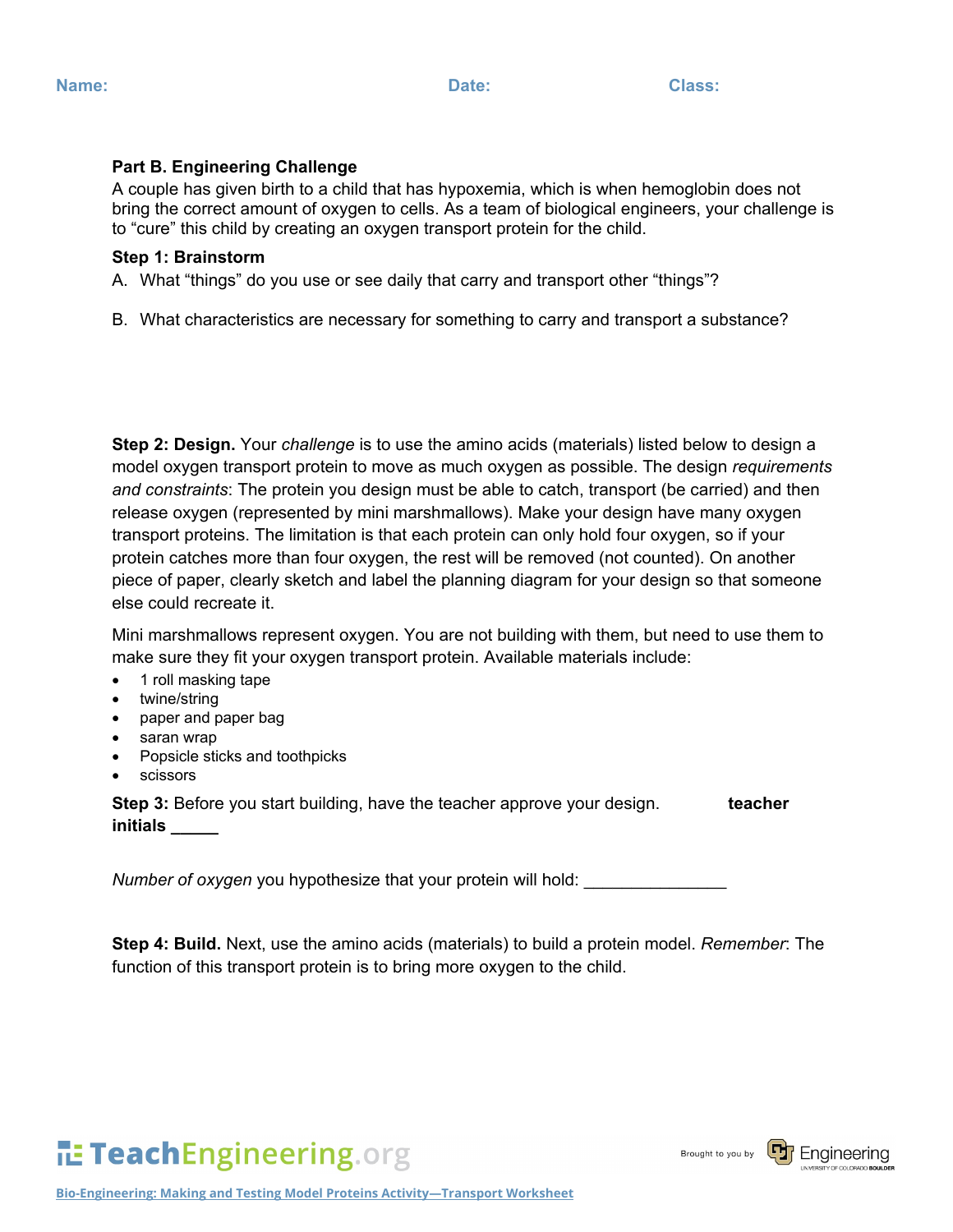#### **Part B. Engineering Challenge**

A couple has given birth to a child that has hypoxemia, which is when hemoglobin does not bring the correct amount of oxygen to cells. As a team of biological engineers, your challenge is to "cure" this child by creating an oxygen transport protein for the child.

#### **Step 1: Brainstorm**

A. What "things" do you use or see daily that carry and transport other "things"?

B. What characteristics are necessary for something to carry and transport a substance?

**Step 2: Design.** Your *challenge* is to use the amino acids (materials) listed below to design a model oxygen transport protein to move as much oxygen as possible. The design *requirements and constraints*: The protein you design must be able to catch, transport (be carried) and then release oxygen (represented by mini marshmallows). Make your design have many oxygen transport proteins. The limitation is that each protein can only hold four oxygen, so if your protein catches more than four oxygen, the rest will be removed (not counted). On another piece of paper, clearly sketch and label the planning diagram for your design so that someone else could recreate it.

Mini marshmallows represent oxygen. You are not building with them, but need to use them to make sure they fit your oxygen transport protein. Available materials include:

- 1 roll masking tape
- twine/string
- paper and paper bag
- saran wrap
- Popsicle sticks and toothpicks
- scissors

**Step 3:** Before you start building, have the teacher approve your design. **teacher initials \_\_\_\_\_**

*Number of oxygen* you hypothesize that your protein will hold:

**Step 4: Build.** Next, use the amino acids (materials) to build a protein model. *Remember*: The function of this transport protein is to bring more oxygen to the child.



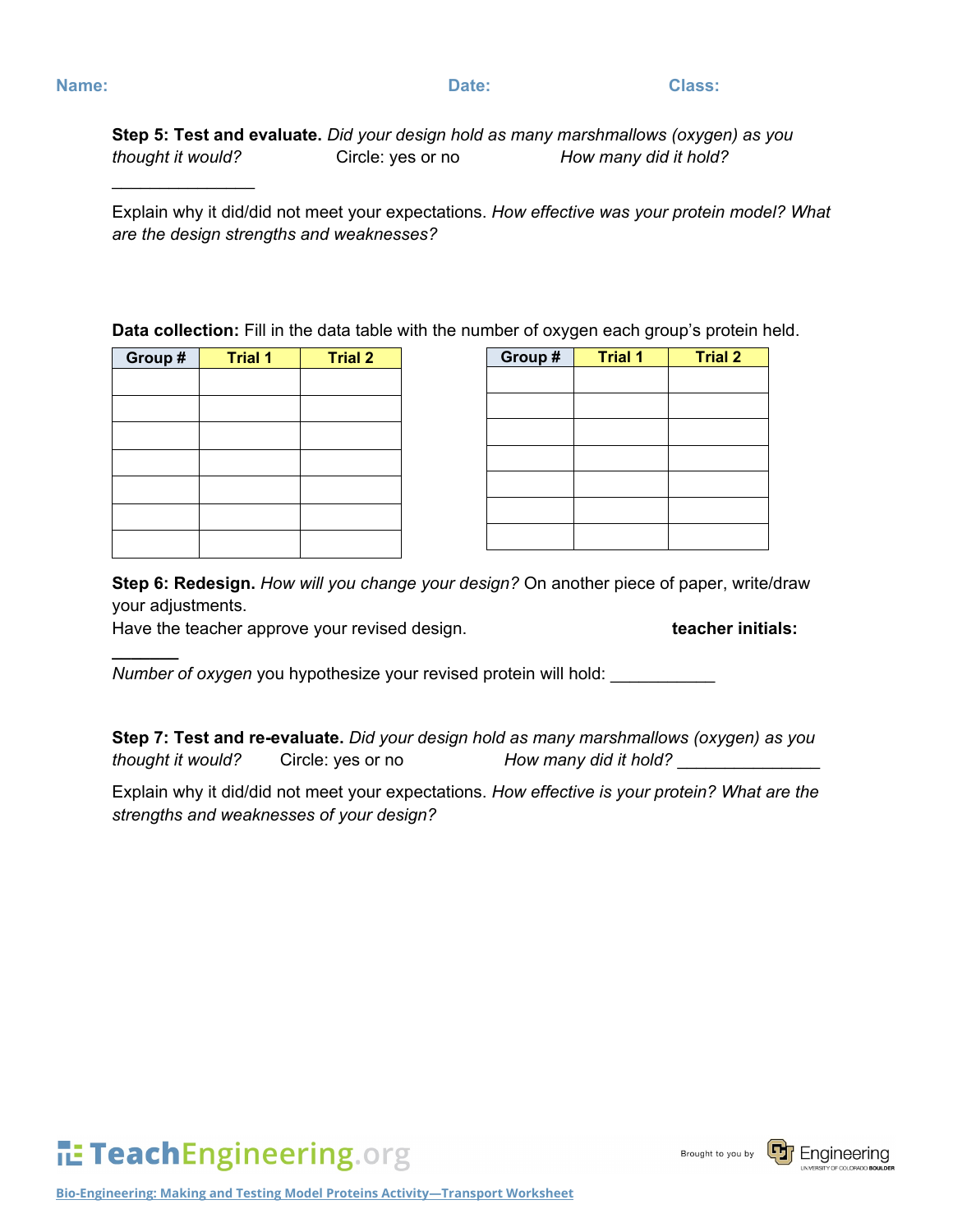$\frac{1}{2}$ 

**\_\_\_\_\_\_\_**

**Step 5: Test and evaluate.** *Did your design hold as many marshmallows (oxygen) as you thought it would?* Circle: yes or no *How many did it hold?*

Explain why it did/did not meet your expectations. *How effective was your protein model? What are the design strengths and weaknesses?*

**Data collection:** Fill in the data table with the number of oxygen each group's protein held.

| Group # | <b>Trial 1</b> | <b>Trial 2</b> |
|---------|----------------|----------------|
|         |                |                |
|         |                |                |
|         |                |                |
|         |                |                |
|         |                |                |
|         |                |                |
|         |                |                |

| Group # | <b>Trial 1</b> | <b>Trial 2</b> |
|---------|----------------|----------------|
|         |                |                |
|         |                |                |
|         |                |                |
|         |                |                |
|         |                |                |
|         |                |                |
|         |                |                |

**Step 6: Redesign.** *How will you change your design?* On another piece of paper, write/draw your adjustments.

Have the teacher approve your revised design. **the end of the teacher initials: teacher initials:** 

*Number of oxygen* you hypothesize your revised protein will hold:

**Step 7: Test and re-evaluate.** *Did your design hold as many marshmallows (oxygen) as you thought it would?* Circle: yes or no *How many did it hold?* \_\_\_\_\_\_\_\_\_\_\_\_\_\_\_

Explain why it did/did not meet your expectations. *How effective is your protein? What are the strengths and weaknesses of your design?*